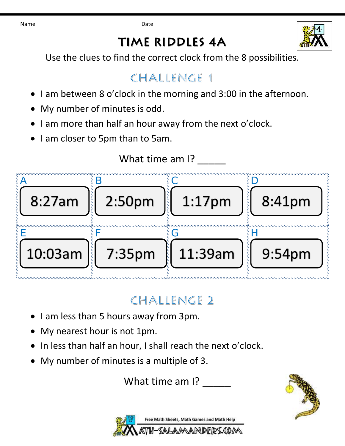Name **Date Date** 

## **TIME RIDDLES 4A**



Use the clues to find the correct clock from the 8 possibilities.

#### CHALLENGE 1

- I am between 8 o'clock in the morning and 3:00 in the afternoon.
- My number of minutes is odd.
- I am more than half an hour away from the next o'clock.
- I am closer to 5pm than to 5am.



# CHALLENGE 2

- I am less than 5 hours away from 3pm.
- My nearest hour is not 1pm.
- In less than half an hour, I shall reach the next o'clock.
- My number of minutes is a multiple of 3.

What time am I?